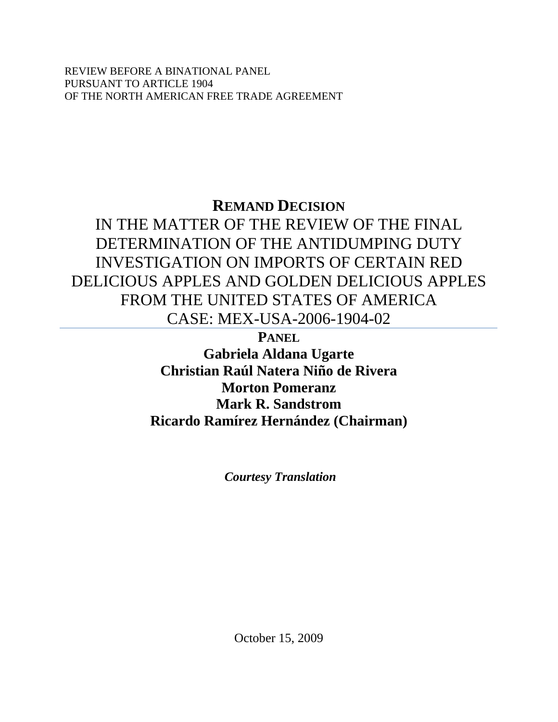REVIEW BEFORE A BINATIONAL PANEL PURSUANT TO ARTICLE 1904 OF THE NORTH AMERICAN FREE TRADE AGREEMENT

# **REMAND DECISION**

IN THE MATTER OF THE REVIEW OF THE FINAL DETERMINATION OF THE ANTIDUMPING DUTY INVESTIGATION ON IMPORTS OF CERTAIN RED DELICIOUS APPLES AND GOLDEN DELICIOUS APPLES FROM THE UNITED STATES OF AMERICA CASE: MEX-USA-2006-1904-02

**PANEL**

**Gabriela Aldana Ugarte Christian Raúl Natera Niño de Rivera Morton Pomeranz Mark R. Sandstrom Ricardo Ramírez Hernández (Chairman)** 

*Courtesy Translation* 

October 15, 2009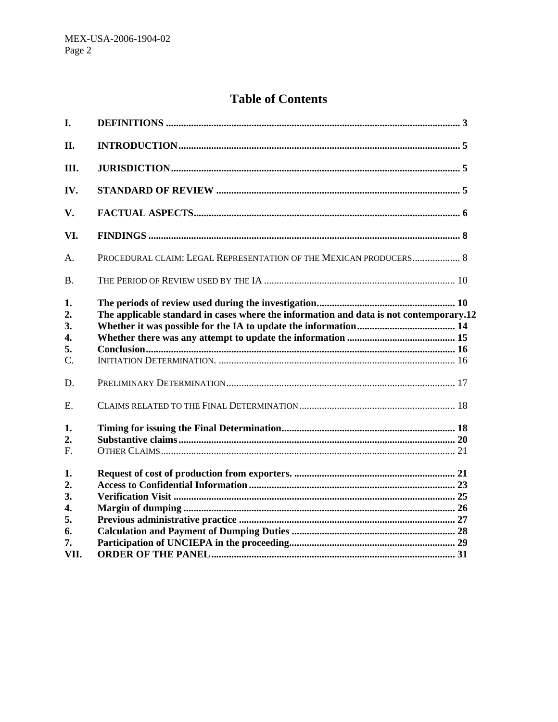# **Table of Contents**

| I.               |                                                                                        |  |
|------------------|----------------------------------------------------------------------------------------|--|
| II.              |                                                                                        |  |
| III.             |                                                                                        |  |
| IV.              |                                                                                        |  |
| V.               |                                                                                        |  |
| VI.              |                                                                                        |  |
| A.               | PROCEDURAL CLAIM: LEGAL REPRESENTATION OF THE MEXICAN PRODUCERS 8                      |  |
| <b>B.</b>        |                                                                                        |  |
| 1.<br>2.<br>3.   | The applicable standard in cases where the information and data is not contemporary.12 |  |
| 4.               |                                                                                        |  |
| 5.               |                                                                                        |  |
| $\mathcal{C}$ .  |                                                                                        |  |
| D.               |                                                                                        |  |
| E.               |                                                                                        |  |
| 1.               |                                                                                        |  |
| 2.               |                                                                                        |  |
| $F_{\rm}$        |                                                                                        |  |
| 1.               |                                                                                        |  |
| 2.               |                                                                                        |  |
| 3.               |                                                                                        |  |
| $\overline{4}$ . |                                                                                        |  |
| 5.               |                                                                                        |  |
| 6.               |                                                                                        |  |
| 7.<br>VII.       |                                                                                        |  |
|                  |                                                                                        |  |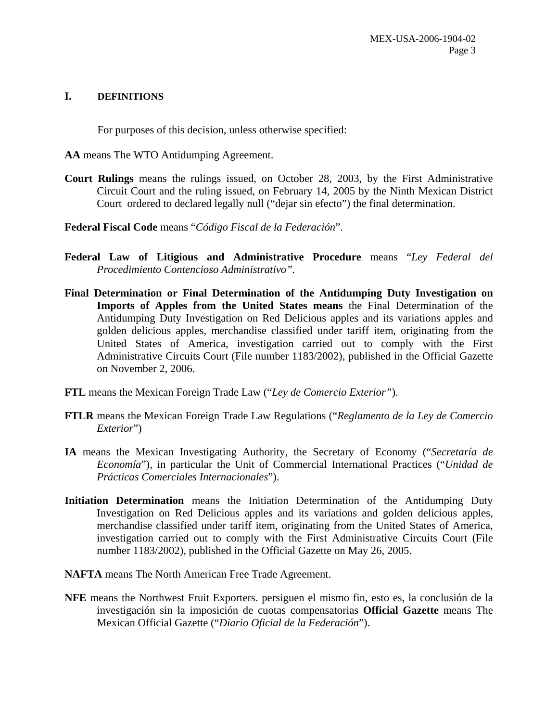#### **I. DEFINITIONS**

For purposes of this decision, unless otherwise specified:

**AA** means The WTO Antidumping Agreement.

- **Court Rulings** means the rulings issued, on October 28, 2003, by the First Administrative Circuit Court and the ruling issued, on February 14, 2005 by the Ninth Mexican District Court ordered to declared legally null ("dejar sin efecto") the final determination.
- **Federal Fiscal Code** means "*Código Fiscal de la Federación*".
- **Federal Law of Litigious and Administrative Procedure** means "*Ley Federal del Procedimiento Contencioso Administrativo".*
- **Final Determination or Final Determination of the Antidumping Duty Investigation on Imports of Apples from the United States means** the Final Determination of the Antidumping Duty Investigation on Red Delicious apples and its variations apples and golden delicious apples, merchandise classified under tariff item, originating from the United States of America, investigation carried out to comply with the First Administrative Circuits Court (File number 1183/2002), published in the Official Gazette on November 2, 2006.
- **FTL** means the Mexican Foreign Trade Law ("*Ley de Comercio Exterior"*).
- **FTLR** means the Mexican Foreign Trade Law Regulations ("*Reglamento de la Ley de Comercio Exterior*")
- **IA** means the Mexican Investigating Authority, the Secretary of Economy ("*Secretaría de Economía*"), in particular the Unit of Commercial International Practices ("*Unidad de Prácticas Comerciales Internacionales*").
- **Initiation Determination** means the Initiation Determination of the Antidumping Duty Investigation on Red Delicious apples and its variations and golden delicious apples, merchandise classified under tariff item, originating from the United States of America, investigation carried out to comply with the First Administrative Circuits Court (File number 1183/2002), published in the Official Gazette on May 26, 2005.
- **NAFTA** means The North American Free Trade Agreement.
- **NFE** means the Northwest Fruit Exporters. persiguen el mismo fin, esto es, la conclusión de la investigación sin la imposición de cuotas compensatorias **Official Gazette** means The Mexican Official Gazette ("*Diario Oficial de la Federación*").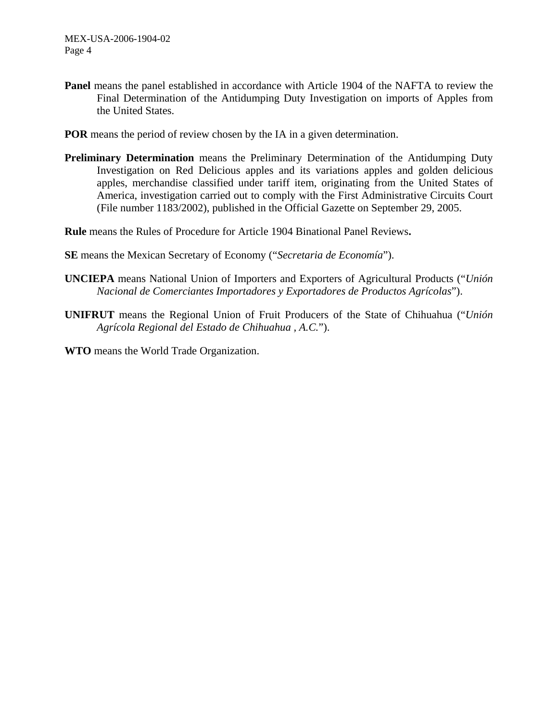- Panel means the panel established in accordance with Article 1904 of the NAFTA to review the Final Determination of the Antidumping Duty Investigation on imports of Apples from the United States.
- **POR** means the period of review chosen by the IA in a given determination.
- **Preliminary Determination** means the Preliminary Determination of the Antidumping Duty Investigation on Red Delicious apples and its variations apples and golden delicious apples, merchandise classified under tariff item, originating from the United States of America, investigation carried out to comply with the First Administrative Circuits Court (File number 1183/2002), published in the Official Gazette on September 29, 2005.

**Rule** means the Rules of Procedure for Article 1904 Binational Panel Reviews**.** 

- **SE** means the Mexican Secretary of Economy ("*Secretaria de Economía*").
- **UNCIEPA** means National Union of Importers and Exporters of Agricultural Products ("*Unión Nacional de Comerciantes Importadores y Exportadores de Productos Agrícolas*").
- **UNIFRUT** means the Regional Union of Fruit Producers of the State of Chihuahua ("*Unión Agrícola Regional del Estado de Chihuahua , A.C.*").
- **WTO** means the World Trade Organization.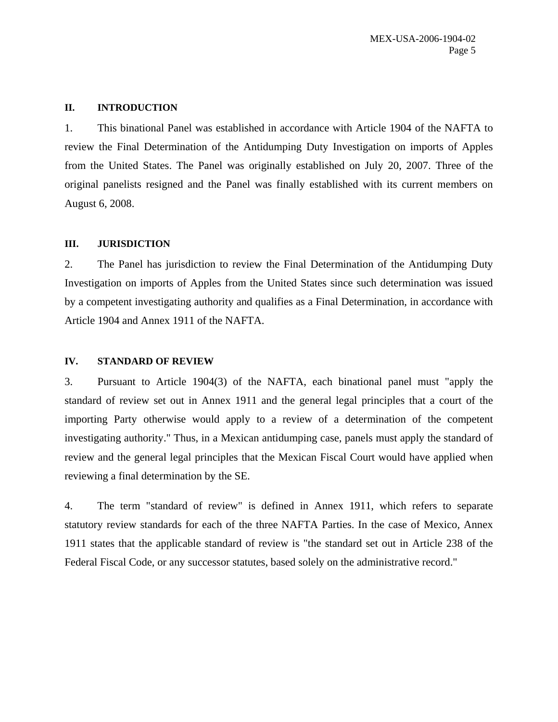#### **II. INTRODUCTION**

1. This binational Panel was established in accordance with Article 1904 of the NAFTA to review the Final Determination of the Antidumping Duty Investigation on imports of Apples from the United States. The Panel was originally established on July 20, 2007. Three of the original panelists resigned and the Panel was finally established with its current members on August 6, 2008.

#### **III. JURISDICTION**

2. The Panel has jurisdiction to review the Final Determination of the Antidumping Duty Investigation on imports of Apples from the United States since such determination was issued by a competent investigating authority and qualifies as a Final Determination, in accordance with Article 1904 and Annex 1911 of the NAFTA.

#### **IV. STANDARD OF REVIEW**

3. Pursuant to Article 1904(3) of the NAFTA, each binational panel must "apply the standard of review set out in Annex 1911 and the general legal principles that a court of the importing Party otherwise would apply to a review of a determination of the competent investigating authority." Thus, in a Mexican antidumping case, panels must apply the standard of review and the general legal principles that the Mexican Fiscal Court would have applied when reviewing a final determination by the SE.

4. The term "standard of review" is defined in Annex 1911, which refers to separate statutory review standards for each of the three NAFTA Parties. In the case of Mexico, Annex 1911 states that the applicable standard of review is "the standard set out in Article 238 of the Federal Fiscal Code, or any successor statutes, based solely on the administrative record."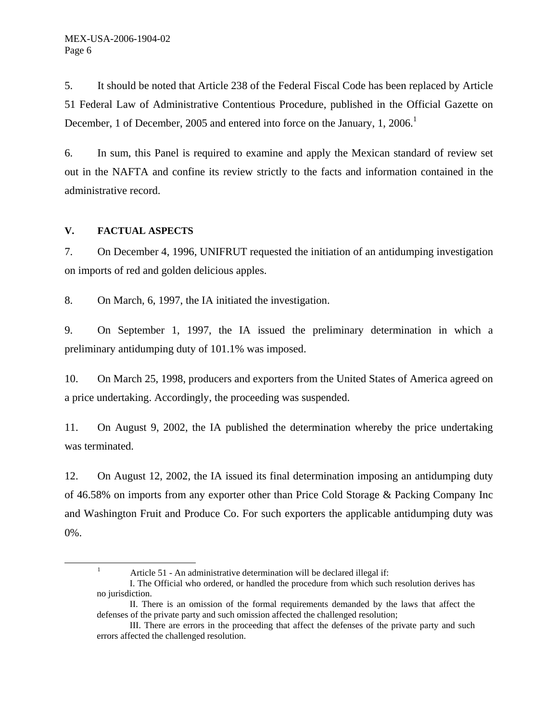5. It should be noted that Article 238 of the Federal Fiscal Code has been replaced by Article 51 Federal Law of Administrative Contentious Procedure, published in the Official Gazette on December, 1 of December, 2005 and entered into force on the January, 1, 2006.<sup>1</sup>

6. In sum, this Panel is required to examine and apply the Mexican standard of review set out in the NAFTA and confine its review strictly to the facts and information contained in the administrative record.

#### **V. FACTUAL ASPECTS**

<u>1</u>

7. On December 4, 1996, UNIFRUT requested the initiation of an antidumping investigation on imports of red and golden delicious apples.

8. On March, 6, 1997, the IA initiated the investigation.

9. On September 1, 1997, the IA issued the preliminary determination in which a preliminary antidumping duty of 101.1% was imposed.

10. On March 25, 1998, producers and exporters from the United States of America agreed on a price undertaking. Accordingly, the proceeding was suspended.

11. On August 9, 2002, the IA published the determination whereby the price undertaking was terminated.

12. On August 12, 2002, the IA issued its final determination imposing an antidumping duty of 46.58% on imports from any exporter other than Price Cold Storage & Packing Company Inc and Washington Fruit and Produce Co. For such exporters the applicable antidumping duty was 0%.

<sup>&</sup>lt;sup>1</sup> Article 51 - An administrative determination will be declared illegal if:

I. The Official who ordered, or handled the procedure from which such resolution derives has no jurisdiction.

II. There is an omission of the formal requirements demanded by the laws that affect the defenses of the private party and such omission affected the challenged resolution;

III. There are errors in the proceeding that affect the defenses of the private party and such errors affected the challenged resolution.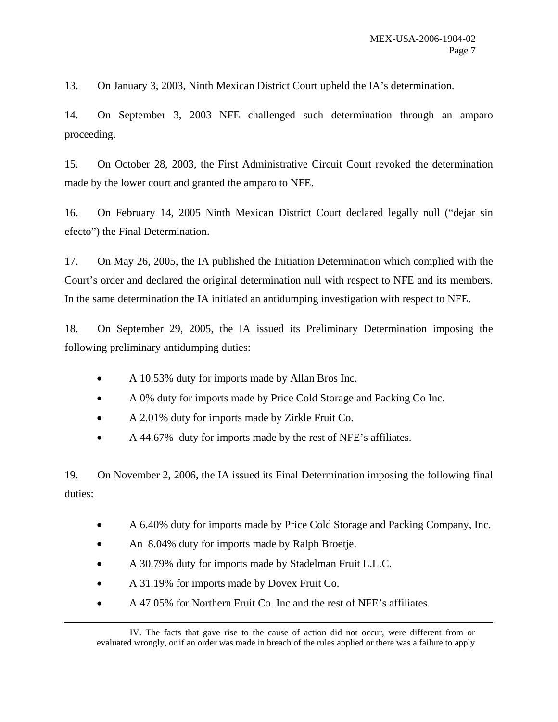13. On January 3, 2003, Ninth Mexican District Court upheld the IA's determination.

14. On September 3, 2003 NFE challenged such determination through an amparo proceeding.

15. On October 28, 2003, the First Administrative Circuit Court revoked the determination made by the lower court and granted the amparo to NFE.

16. On February 14, 2005 Ninth Mexican District Court declared legally null ("dejar sin efecto") the Final Determination.

17. On May 26, 2005, the IA published the Initiation Determination which complied with the Court's order and declared the original determination null with respect to NFE and its members. In the same determination the IA initiated an antidumping investigation with respect to NFE.

18. On September 29, 2005, the IA issued its Preliminary Determination imposing the following preliminary antidumping duties:

- A 10.53% duty for imports made by Allan Bros Inc.
- A 0% duty for imports made by Price Cold Storage and Packing Co Inc.
- A 2.01% duty for imports made by Zirkle Fruit Co.
- A 44.67% duty for imports made by the rest of NFE's affiliates.

19. On November 2, 2006, the IA issued its Final Determination imposing the following final duties:

- A 6.40% duty for imports made by Price Cold Storage and Packing Company, Inc.
- An 8.04% duty for imports made by Ralph Broetje.
- A 30.79% duty for imports made by Stadelman Fruit L.L.C.
- A 31.19% for imports made by Dovex Fruit Co.

l

• A 47.05% for Northern Fruit Co. Inc and the rest of NFE's affiliates.

IV. The facts that gave rise to the cause of action did not occur, were different from or evaluated wrongly, or if an order was made in breach of the rules applied or there was a failure to apply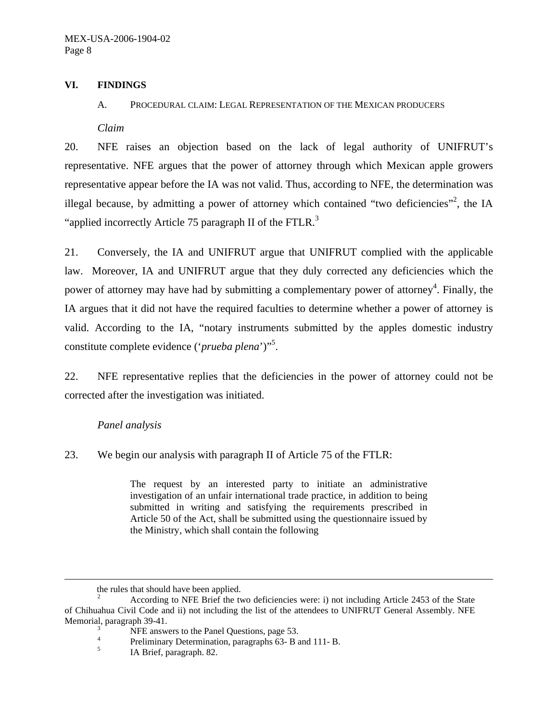#### **VI. FINDINGS**

#### A. PROCEDURAL CLAIM: LEGAL REPRESENTATION OF THE MEXICAN PRODUCERS

*Claim* 

20. NFE raises an objection based on the lack of legal authority of UNIFRUT's representative. NFE argues that the power of attorney through which Mexican apple growers representative appear before the IA was not valid. Thus, according to NFE, the determination was illegal because, by admitting a power of attorney which contained "two deficiencies"<sup>2</sup>, the IA "applied incorrectly Article 75 paragraph II of the FTLR. $3$ 

21. Conversely, the IA and UNIFRUT argue that UNIFRUT complied with the applicable law. Moreover, IA and UNIFRUT argue that they duly corrected any deficiencies which the power of attorney may have had by submitting a complementary power of attorney<sup>4</sup>. Finally, the IA argues that it did not have the required faculties to determine whether a power of attorney is valid. According to the IA, "notary instruments submitted by the apples domestic industry constitute complete evidence ('*prueba plena*')"<sup>5</sup> .

22. NFE representative replies that the deficiencies in the power of attorney could not be corrected after the investigation was initiated.

#### *Panel analysis*

l

23. We begin our analysis with paragraph II of Article 75 of the FTLR:

The request by an interested party to initiate an administrative investigation of an unfair international trade practice, in addition to being submitted in writing and satisfying the requirements prescribed in Article 50 of the Act, shall be submitted using the questionnaire issued by the Ministry, which shall contain the following

the rules that should have been applied.

<sup>2</sup> According to NFE Brief the two deficiencies were: i) not including Article 2453 of the State of Chihuahua Civil Code and ii) not including the list of the attendees to UNIFRUT General Assembly. NFE Memorial, paragraph 39-41.

 $NFE$  answers to the Panel Questions, page 53.

Preliminary Determination, paragraphs 63- B and 111- B. 5

IA Brief, paragraph. 82.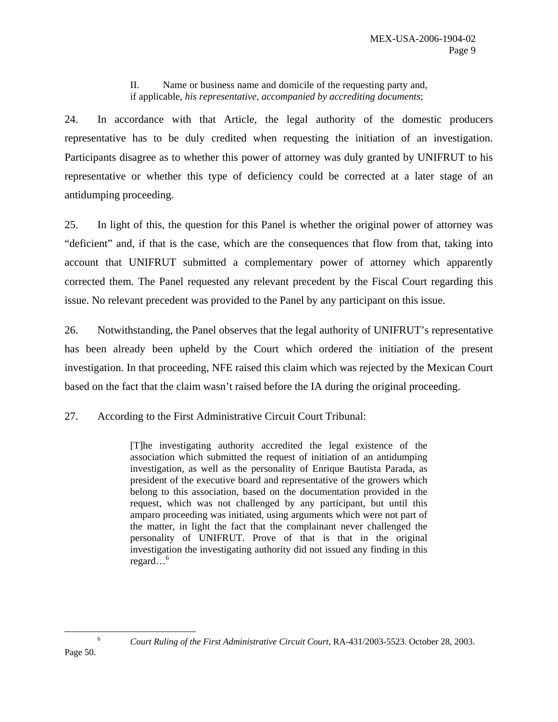II. Name or business name and domicile of the requesting party and, if applicable, *his representative, accompanied by accrediting documents*;

24. In accordance with that Article, the legal authority of the domestic producers representative has to be duly credited when requesting the initiation of an investigation. Participants disagree as to whether this power of attorney was duly granted by UNIFRUT to his representative or whether this type of deficiency could be corrected at a later stage of an antidumping proceeding.

25. In light of this, the question for this Panel is whether the original power of attorney was "deficient" and, if that is the case, which are the consequences that flow from that, taking into account that UNIFRUT submitted a complementary power of attorney which apparently corrected them. The Panel requested any relevant precedent by the Fiscal Court regarding this issue. No relevant precedent was provided to the Panel by any participant on this issue.

26. Notwithstanding, the Panel observes that the legal authority of UNIFRUT's representative has been already been upheld by the Court which ordered the initiation of the present investigation. In that proceeding, NFE raised this claim which was rejected by the Mexican Court based on the fact that the claim wasn't raised before the IA during the original proceeding.

27. According to the First Administrative Circuit Court Tribunal:

[T]he investigating authority accredited the legal existence of the association which submitted the request of initiation of an antidumping investigation, as well as the personality of Enrique Bautista Parada, as president of the executive board and representative of the growers which belong to this association, based on the documentation provided in the request, which was not challenged by any participant, but until this amparo proceeding was initiated, using arguments which were not part of the matter, in light the fact that the complainant never challenged the personality of UNIFRUT. Prove of that is that in the original investigation the investigating authority did not issued any finding in this regard…<sup>6</sup>

*Court Ruling of the First Administrative Circuit Court*, RA-431/2003-5523. October 28, 2003.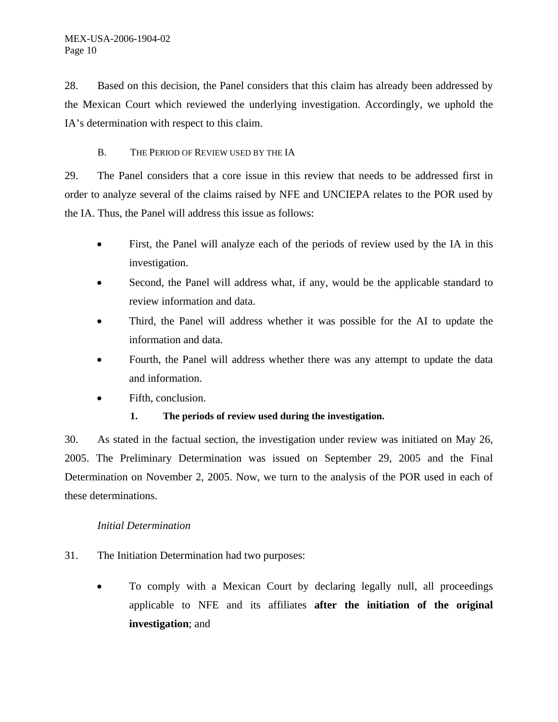28. Based on this decision, the Panel considers that this claim has already been addressed by the Mexican Court which reviewed the underlying investigation. Accordingly, we uphold the IA's determination with respect to this claim.

### B. THE PERIOD OF REVIEW USED BY THE IA

29. The Panel considers that a core issue in this review that needs to be addressed first in order to analyze several of the claims raised by NFE and UNCIEPA relates to the POR used by the IA. Thus, the Panel will address this issue as follows:

- First, the Panel will analyze each of the periods of review used by the IA in this investigation.
- Second, the Panel will address what, if any, would be the applicable standard to review information and data.
- Third, the Panel will address whether it was possible for the AI to update the information and data.
- Fourth, the Panel will address whether there was any attempt to update the data and information.
- Fifth, conclusion.

# **1. The periods of review used during the investigation.**

30. As stated in the factual section, the investigation under review was initiated on May 26, 2005. The Preliminary Determination was issued on September 29, 2005 and the Final Determination on November 2, 2005. Now, we turn to the analysis of the POR used in each of these determinations.

### *Initial Determination*

- 31. The Initiation Determination had two purposes:
	- To comply with a Mexican Court by declaring legally null, all proceedings applicable to NFE and its affiliates **after the initiation of the original investigation**; and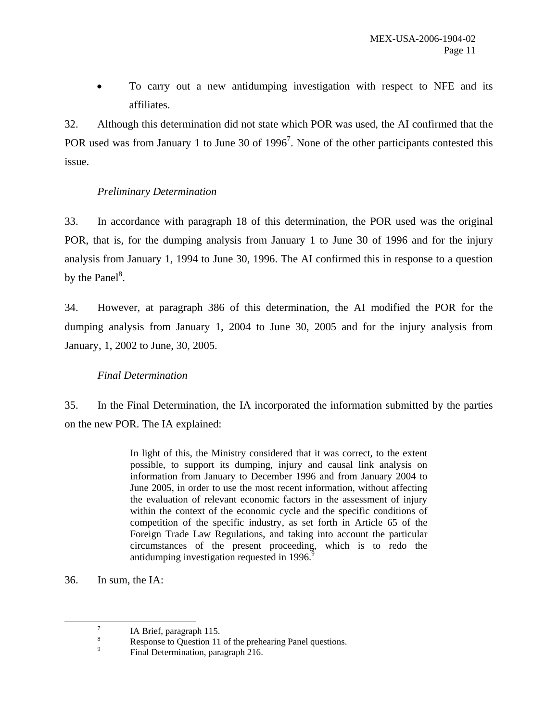• To carry out a new antidumping investigation with respect to NFE and its affiliates.

32. Although this determination did not state which POR was used, the AI confirmed that the POR used was from January 1 to June 30 of  $1996<sup>7</sup>$ . None of the other participants contested this issue.

### *Preliminary Determination*

33. In accordance with paragraph 18 of this determination, the POR used was the original POR, that is, for the dumping analysis from January 1 to June 30 of 1996 and for the injury analysis from January 1, 1994 to June 30, 1996. The AI confirmed this in response to a question by the Panel $^8$ .

34. However, at paragraph 386 of this determination, the AI modified the POR for the dumping analysis from January 1, 2004 to June 30, 2005 and for the injury analysis from January, 1, 2002 to June, 30, 2005.

### *Final Determination*

35. In the Final Determination, the IA incorporated the information submitted by the parties on the new POR. The IA explained:

> In light of this, the Ministry considered that it was correct, to the extent possible, to support its dumping, injury and causal link analysis on information from January to December 1996 and from January 2004 to June 2005, in order to use the most recent information, without affecting the evaluation of relevant economic factors in the assessment of injury within the context of the economic cycle and the specific conditions of competition of the specific industry, as set forth in Article 65 of the Foreign Trade Law Regulations, and taking into account the particular circumstances of the present proceeding, which is to redo the antidumping investigation requested in 1996.<sup>9</sup>

36. In sum, the IA:

 $\overline{7}$  $^7$  IA Brief, paragraph 115.

<sup>8</sup> Response to Question 11 of the prehearing Panel questions.

<sup>9</sup> Final Determination, paragraph 216.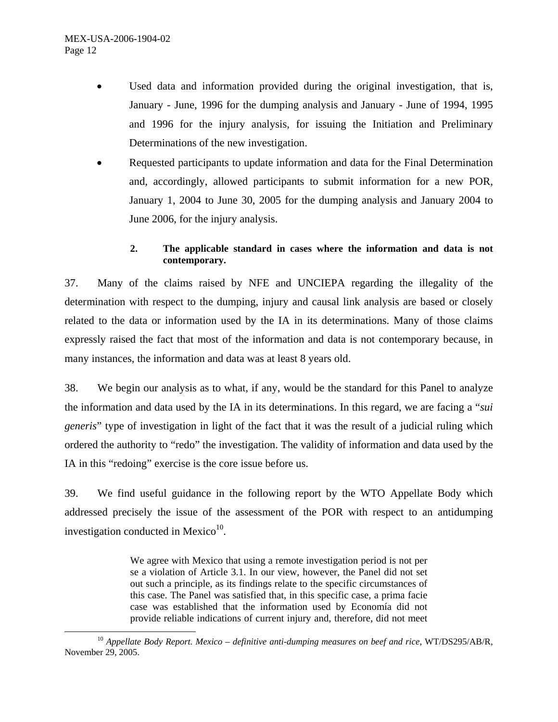- Used data and information provided during the original investigation, that is, January - June, 1996 for the dumping analysis and January - June of 1994, 1995 and 1996 for the injury analysis, for issuing the Initiation and Preliminary Determinations of the new investigation.
- Requested participants to update information and data for the Final Determination and, accordingly, allowed participants to submit information for a new POR, January 1, 2004 to June 30, 2005 for the dumping analysis and January 2004 to June 2006, for the injury analysis.

### **2. The applicable standard in cases where the information and data is not contemporary.**

37. Many of the claims raised by NFE and UNCIEPA regarding the illegality of the determination with respect to the dumping, injury and causal link analysis are based or closely related to the data or information used by the IA in its determinations. Many of those claims expressly raised the fact that most of the information and data is not contemporary because, in many instances, the information and data was at least 8 years old.

38. We begin our analysis as to what, if any, would be the standard for this Panel to analyze the information and data used by the IA in its determinations. In this regard, we are facing a "*sui generis*" type of investigation in light of the fact that it was the result of a judicial ruling which ordered the authority to "redo" the investigation. The validity of information and data used by the IA in this "redoing" exercise is the core issue before us.

39. We find useful guidance in the following report by the WTO Appellate Body which addressed precisely the issue of the assessment of the POR with respect to an antidumping investigation conducted in Mexico $10$ .

> We agree with Mexico that using a remote investigation period is not per se a violation of Article 3.1. In our view, however, the Panel did not set out such a principle, as its findings relate to the specific circumstances of this case. The Panel was satisfied that, in this specific case, a prima facie case was established that the information used by Economía did not provide reliable indications of current injury and, therefore, did not meet

<sup>&</sup>lt;sup>10</sup> Appellate Body Report. Mexico – definitive anti-dumping measures on beef and rice, WT/DS295/AB/R, November 29, 2005.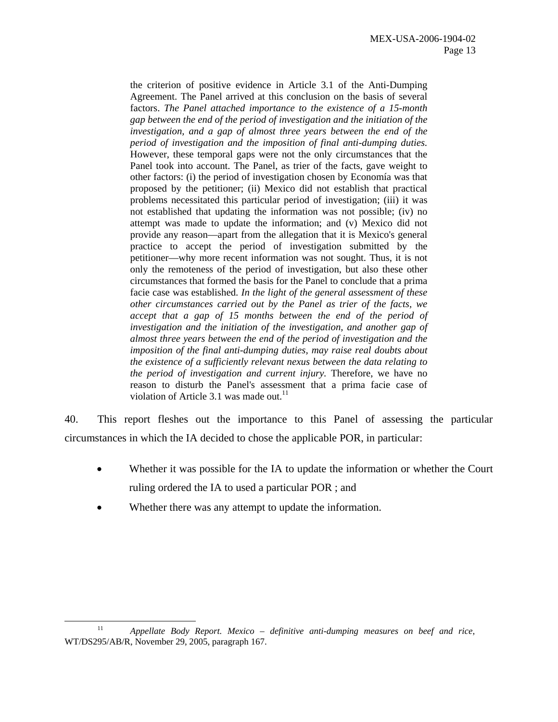the criterion of positive evidence in Article 3.1 of the Anti-Dumping Agreement. The Panel arrived at this conclusion on the basis of several factors. *The Panel attached importance to the existence of a 15-month gap between the end of the period of investigation and the initiation of the investigation, and a gap of almost three years between the end of the period of investigation and the imposition of final anti-dumping duties.* However, these temporal gaps were not the only circumstances that the Panel took into account. The Panel, as trier of the facts, gave weight to other factors: (i) the period of investigation chosen by Economía was that proposed by the petitioner; (ii) Mexico did not establish that practical problems necessitated this particular period of investigation; (iii) it was not established that updating the information was not possible; (iv) no attempt was made to update the information; and (v) Mexico did not provide any reason—apart from the allegation that it is Mexico's general practice to accept the period of investigation submitted by the petitioner—why more recent information was not sought. Thus, it is not only the remoteness of the period of investigation, but also these other circumstances that formed the basis for the Panel to conclude that a prima facie case was established. *In the light of the general assessment of these other circumstances carried out by the Panel as trier of the facts, we accept that a gap of 15 months between the end of the period of investigation and the initiation of the investigation, and another gap of almost three years between the end of the period of investigation and the imposition of the final anti-dumping duties, may raise real doubts about the existence of a sufficiently relevant nexus between the data relating to the period of investigation and current injury.* Therefore, we have no reason to disturb the Panel's assessment that a prima facie case of violation of Article 3.1 was made out.<sup>11</sup>

40. This report fleshes out the importance to this Panel of assessing the particular circumstances in which the IA decided to chose the applicable POR, in particular:

- Whether it was possible for the IA to update the information or whether the Court ruling ordered the IA to used a particular POR ; and
- Whether there was any attempt to update the information.

 <sup>11</sup> *Appellate Body Report. Mexico – definitive anti-dumping measures on beef and rice*, WT/DS295/AB/R, November 29, 2005, paragraph 167.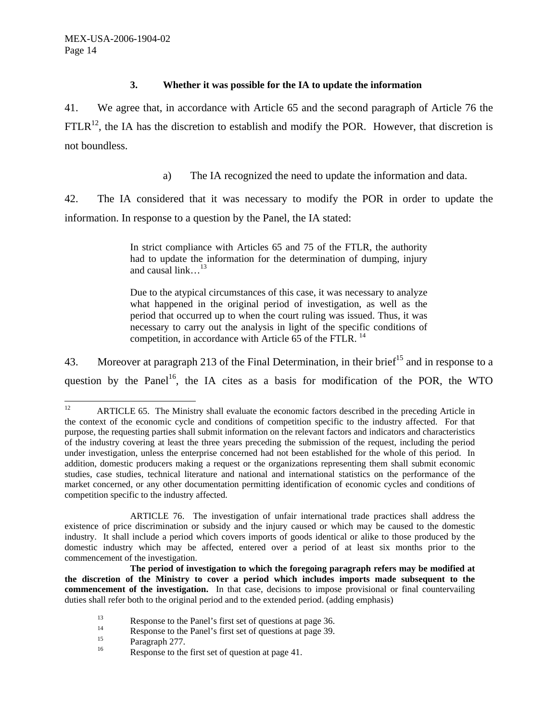#### **3. Whether it was possible for the IA to update the information**

41. We agree that, in accordance with Article 65 and the second paragraph of Article 76 the  $FTLR<sup>12</sup>$ , the IA has the discretion to establish and modify the POR. However, that discretion is not boundless.

a) The IA recognized the need to update the information and data.

42. The IA considered that it was necessary to modify the POR in order to update the information. In response to a question by the Panel, the IA stated:

> In strict compliance with Articles 65 and 75 of the FTLR, the authority had to update the information for the determination of dumping, injury and causal link.  $^{13}$

> Due to the atypical circumstances of this case, it was necessary to analyze what happened in the original period of investigation, as well as the period that occurred up to when the court ruling was issued. Thus, it was necessary to carry out the analysis in light of the specific conditions of competition, in accordance with Article 65 of the FTLR.<sup>14</sup>

43. Moreover at paragraph 213 of the Final Determination, in their brief<sup>15</sup> and in response to a question by the Panel<sup>16</sup>, the IA cites as a basis for modification of the POR, the WTO

- <sup>13</sup><br>Response to the Panel's first set of questions at page 36.<br>Response to the Panel's first set of questions at page 30.
- <sup>14</sup> Response to the Panel's first set of questions at page 39.<br> **Response 277**
- $\frac{15}{16}$  Paragraph 277.
- Response to the first set of question at page 41.

 $12$ 12 ARTICLE 65. The Ministry shall evaluate the economic factors described in the preceding Article in the context of the economic cycle and conditions of competition specific to the industry affected. For that purpose, the requesting parties shall submit information on the relevant factors and indicators and characteristics of the industry covering at least the three years preceding the submission of the request, including the period under investigation, unless the enterprise concerned had not been established for the whole of this period. In addition, domestic producers making a request or the organizations representing them shall submit economic studies, case studies, technical literature and national and international statistics on the performance of the market concerned, or any other documentation permitting identification of economic cycles and conditions of competition specific to the industry affected.

ARTICLE 76. The investigation of unfair international trade practices shall address the existence of price discrimination or subsidy and the injury caused or which may be caused to the domestic industry. It shall include a period which covers imports of goods identical or alike to those produced by the domestic industry which may be affected, entered over a period of at least six months prior to the commencement of the investigation.

**The period of investigation to which the foregoing paragraph refers may be modified at the discretion of the Ministry to cover a period which includes imports made subsequent to the commencement of the investigation.** In that case, decisions to impose provisional or final countervailing duties shall refer both to the original period and to the extended period. (adding emphasis)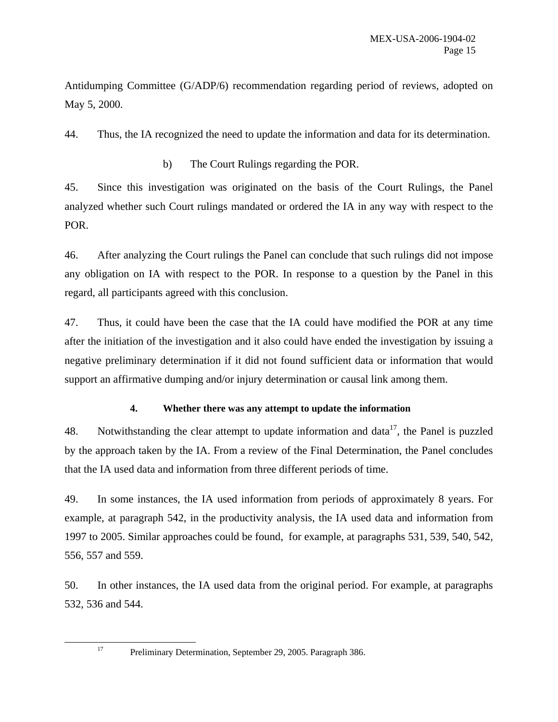Antidumping Committee (G/ADP/6) recommendation regarding period of reviews, adopted on May 5, 2000.

44. Thus, the IA recognized the need to update the information and data for its determination.

b) The Court Rulings regarding the POR.

45. Since this investigation was originated on the basis of the Court Rulings, the Panel analyzed whether such Court rulings mandated or ordered the IA in any way with respect to the POR.

46. After analyzing the Court rulings the Panel can conclude that such rulings did not impose any obligation on IA with respect to the POR. In response to a question by the Panel in this regard, all participants agreed with this conclusion.

47. Thus, it could have been the case that the IA could have modified the POR at any time after the initiation of the investigation and it also could have ended the investigation by issuing a negative preliminary determination if it did not found sufficient data or information that would support an affirmative dumping and/or injury determination or causal link among them.

### **4. Whether there was any attempt to update the information**

48. Notwithstanding the clear attempt to update information and data<sup>17</sup>, the Panel is puzzled by the approach taken by the IA. From a review of the Final Determination, the Panel concludes that the IA used data and information from three different periods of time.

49. In some instances, the IA used information from periods of approximately 8 years. For example, at paragraph 542, in the productivity analysis, the IA used data and information from 1997 to 2005. Similar approaches could be found, for example, at paragraphs 531, 539, 540, 542, 556, 557 and 559.

50. In other instances, the IA used data from the original period. For example, at paragraphs 532, 536 and 544.

 <sup>17</sup> Preliminary Determination, September 29, 2005. Paragraph 386.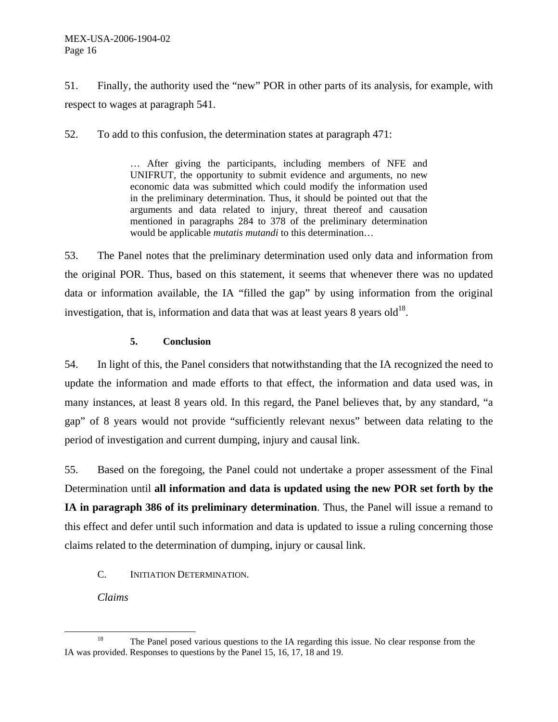#### MEX-USA-2006-1904-02 Page 16

51. Finally, the authority used the "new" POR in other parts of its analysis, for example, with respect to wages at paragraph 541.

52. To add to this confusion, the determination states at paragraph 471:

… After giving the participants, including members of NFE and UNIFRUT, the opportunity to submit evidence and arguments, no new economic data was submitted which could modify the information used in the preliminary determination. Thus, it should be pointed out that the arguments and data related to injury, threat thereof and causation mentioned in paragraphs 284 to 378 of the preliminary determination would be applicable *mutatis mutandi* to this determination…

53. The Panel notes that the preliminary determination used only data and information from the original POR. Thus, based on this statement, it seems that whenever there was no updated data or information available, the IA "filled the gap" by using information from the original investigation, that is, information and data that was at least years  $8$  years old<sup>18</sup>.

#### **5. Conclusion**

54. In light of this, the Panel considers that notwithstanding that the IA recognized the need to update the information and made efforts to that effect, the information and data used was, in many instances, at least 8 years old. In this regard, the Panel believes that, by any standard, "a gap" of 8 years would not provide "sufficiently relevant nexus" between data relating to the period of investigation and current dumping, injury and causal link.

55. Based on the foregoing, the Panel could not undertake a proper assessment of the Final Determination until **all information and data is updated using the new POR set forth by the IA in paragraph 386 of its preliminary determination**. Thus, the Panel will issue a remand to this effect and defer until such information and data is updated to issue a ruling concerning those claims related to the determination of dumping, injury or causal link.

C. INITIATION DETERMINATION.

*Claims* 

<sup>&</sup>lt;sup>18</sup> The Panel posed various questions to the IA regarding this issue. No clear response from the IA was provided. Responses to questions by the Panel 15, 16, 17, 18 and 19.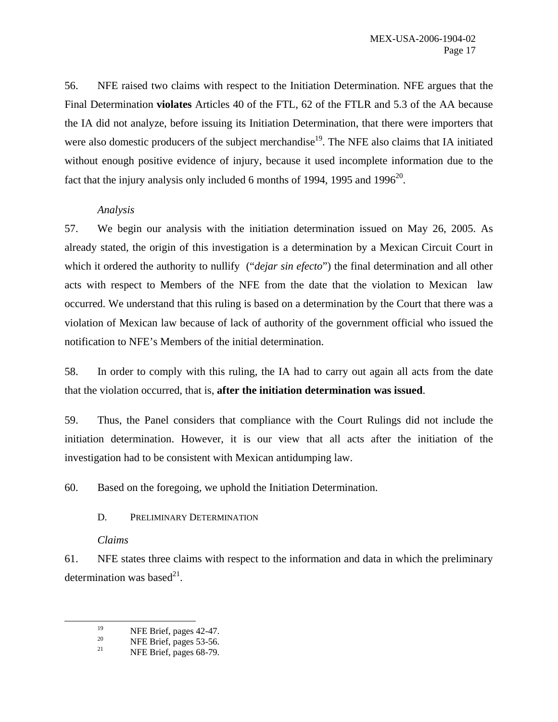56. NFE raised two claims with respect to the Initiation Determination. NFE argues that the Final Determination **violates** Articles 40 of the FTL, 62 of the FTLR and 5.3 of the AA because the IA did not analyze, before issuing its Initiation Determination, that there were importers that were also domestic producers of the subject merchandise<sup>19</sup>. The NFE also claims that IA initiated without enough positive evidence of injury, because it used incomplete information due to the fact that the injury analysis only included 6 months of 1994, 1995 and 1996 $^{20}$ .

### *Analysis*

57. We begin our analysis with the initiation determination issued on May 26, 2005. As already stated, the origin of this investigation is a determination by a Mexican Circuit Court in which it ordered the authority to nullify ("*dejar sin efecto*") the final determination and all other acts with respect to Members of the NFE from the date that the violation to Mexican law occurred. We understand that this ruling is based on a determination by the Court that there was a violation of Mexican law because of lack of authority of the government official who issued the notification to NFE's Members of the initial determination.

58. In order to comply with this ruling, the IA had to carry out again all acts from the date that the violation occurred, that is, **after the initiation determination was issued**.

59. Thus, the Panel considers that compliance with the Court Rulings did not include the initiation determination. However, it is our view that all acts after the initiation of the investigation had to be consistent with Mexican antidumping law.

60. Based on the foregoing, we uphold the Initiation Determination.

D. PRELIMINARY DETERMINATION

### *Claims*

61. NFE states three claims with respect to the information and data in which the preliminary determination was based<sup>21</sup>.

<sup>&</sup>lt;sup>19</sup> NFE Brief, pages 42-47.

<sup>&</sup>lt;sup>20</sup> NFE Brief, pages 53-56.<br><sup>21</sup> NEE Brief, pages 68.70.

NFE Brief, pages 68-79.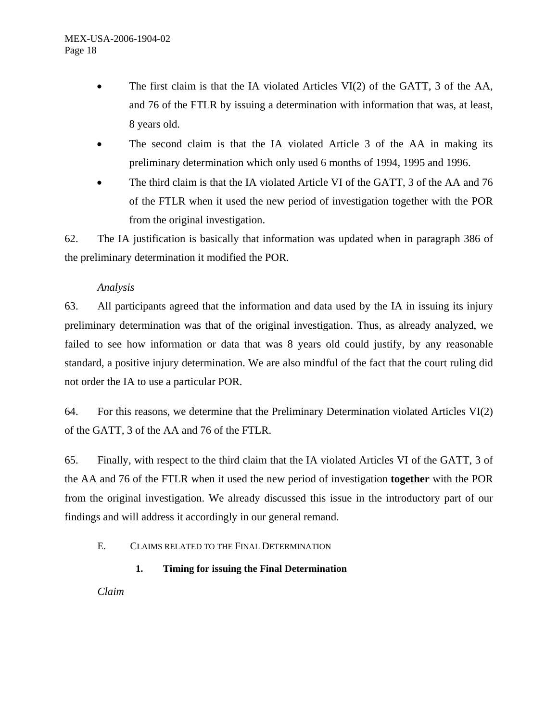- The first claim is that the IA violated Articles VI(2) of the GATT, 3 of the AA, and 76 of the FTLR by issuing a determination with information that was, at least, 8 years old.
- The second claim is that the IA violated Article 3 of the AA in making its preliminary determination which only used 6 months of 1994, 1995 and 1996.
- The third claim is that the IA violated Article VI of the GATT, 3 of the AA and 76 of the FTLR when it used the new period of investigation together with the POR from the original investigation.

62. The IA justification is basically that information was updated when in paragraph 386 of the preliminary determination it modified the POR.

### *Analysis*

63. All participants agreed that the information and data used by the IA in issuing its injury preliminary determination was that of the original investigation. Thus, as already analyzed, we failed to see how information or data that was 8 years old could justify, by any reasonable standard, a positive injury determination. We are also mindful of the fact that the court ruling did not order the IA to use a particular POR.

64. For this reasons, we determine that the Preliminary Determination violated Articles VI $(2)$ of the GATT, 3 of the AA and 76 of the FTLR.

65. Finally, with respect to the third claim that the IA violated Articles VI of the GATT, 3 of the AA and 76 of the FTLR when it used the new period of investigation **together** with the POR from the original investigation. We already discussed this issue in the introductory part of our findings and will address it accordingly in our general remand.

### E. CLAIMS RELATED TO THE FINAL DETERMINATION

**1. Timing for issuing the Final Determination** 

*Claim*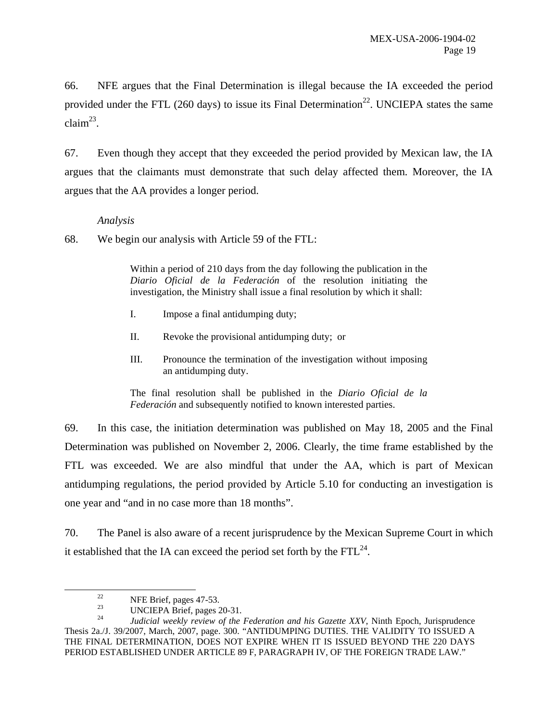66. NFE argues that the Final Determination is illegal because the IA exceeded the period provided under the FTL (260 days) to issue its Final Determination<sup>22</sup>. UNCIEPA states the same  $claim<sup>23</sup>$ .

67. Even though they accept that they exceeded the period provided by Mexican law, the IA argues that the claimants must demonstrate that such delay affected them. Moreover, the IA argues that the AA provides a longer period.

#### *Analysis*

68. We begin our analysis with Article 59 of the FTL:

Within a period of 210 days from the day following the publication in the *Diario Oficial de la Federación* of the resolution initiating the investigation, the Ministry shall issue a final resolution by which it shall:

- I. Impose a final antidumping duty;
- II. Revoke the provisional antidumping duty; or
- III. Pronounce the termination of the investigation without imposing an antidumping duty.

The final resolution shall be published in the *Diario Oficial de la Federación* and subsequently notified to known interested parties.

69. In this case, the initiation determination was published on May 18, 2005 and the Final Determination was published on November 2, 2006. Clearly, the time frame established by the FTL was exceeded. We are also mindful that under the AA, which is part of Mexican antidumping regulations, the period provided by Article 5.10 for conducting an investigation is one year and "and in no case more than 18 months".

70. The Panel is also aware of a recent jurisprudence by the Mexican Supreme Court in which it established that the IA can exceed the period set forth by the  $FTL^{24}$ .

<sup>&</sup>lt;sup>22</sup> NFE Brief, pages 47-53.

 $\frac{23}{24}$  UNCIEPA Brief, pages 20-31.

<sup>24</sup> *Judicial weekly review of the Federation and his Gazette XXV*, Ninth Epoch, Jurisprudence Thesis 2a./J. 39/2007, March, 2007, page. 300. "ANTIDUMPING DUTIES. THE VALIDITY TO ISSUED A THE FINAL DETERMINATION, DOES NOT EXPIRE WHEN IT IS ISSUED BEYOND THE 220 DAYS PERIOD ESTABLISHED UNDER ARTICLE 89 F, PARAGRAPH IV, OF THE FOREIGN TRADE LAW."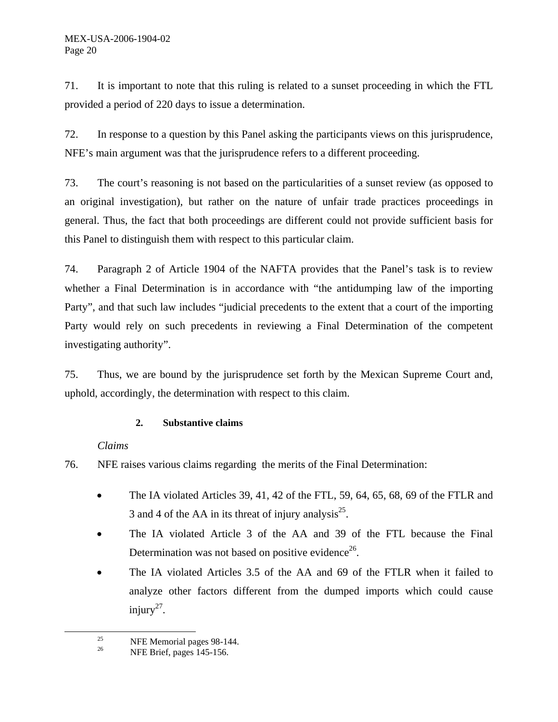71. It is important to note that this ruling is related to a sunset proceeding in which the FTL provided a period of 220 days to issue a determination.

72. In response to a question by this Panel asking the participants views on this jurisprudence, NFE's main argument was that the jurisprudence refers to a different proceeding.

73. The court's reasoning is not based on the particularities of a sunset review (as opposed to an original investigation), but rather on the nature of unfair trade practices proceedings in general. Thus, the fact that both proceedings are different could not provide sufficient basis for this Panel to distinguish them with respect to this particular claim.

74. Paragraph 2 of Article 1904 of the NAFTA provides that the Panel's task is to review whether a Final Determination is in accordance with "the antidumping law of the importing Party", and that such law includes "judicial precedents to the extent that a court of the importing Party would rely on such precedents in reviewing a Final Determination of the competent investigating authority".

75. Thus, we are bound by the jurisprudence set forth by the Mexican Supreme Court and, uphold, accordingly, the determination with respect to this claim.

### **2. Substantive claims**

# *Claims*

76. NFE raises various claims regarding the merits of the Final Determination:

- The IA violated Articles 39, 41, 42 of the FTL, 59, 64, 65, 68, 69 of the FTLR and 3 and 4 of the AA in its threat of injury analysis<sup>25</sup>.
- The IA violated Article 3 of the AA and 39 of the FTL because the Final Determination was not based on positive evidence<sup>26</sup>.
- The IA violated Articles 3.5 of the AA and 69 of the FTLR when it failed to analyze other factors different from the dumped imports which could cause injury<sup>27</sup>.

<sup>&</sup>lt;sup>25</sup> NFE Memorial pages 98-144.<br><sup>26</sup> NEE Print pages 145.156

NFE Brief, pages 145-156.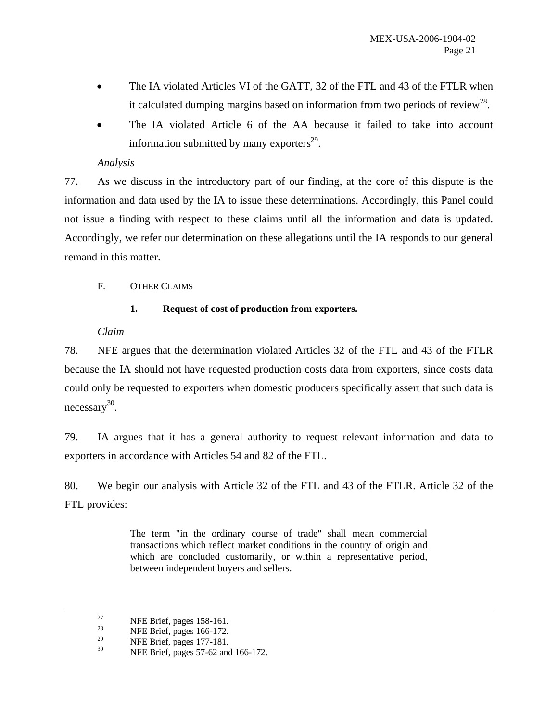- The IA violated Articles VI of the GATT, 32 of the FTL and 43 of the FTLR when it calculated dumping margins based on information from two periods of review<sup>28</sup>.
- The IA violated Article 6 of the AA because it failed to take into account information submitted by many exporters $^{29}$ .

# *Analysis*

77. As we discuss in the introductory part of our finding, at the core of this dispute is the information and data used by the IA to issue these determinations. Accordingly, this Panel could not issue a finding with respect to these claims until all the information and data is updated. Accordingly, we refer our determination on these allegations until the IA responds to our general remand in this matter.

F. OTHER CLAIMS

### **1. Request of cost of production from exporters.**

### *Claim*

78. NFE argues that the determination violated Articles 32 of the FTL and 43 of the FTLR because the IA should not have requested production costs data from exporters, since costs data could only be requested to exporters when domestic producers specifically assert that such data is  $n$ ecessary<sup>30</sup>.

79. IA argues that it has a general authority to request relevant information and data to exporters in accordance with Articles 54 and 82 of the FTL.

80. We begin our analysis with Article 32 of the FTL and 43 of the FTLR. Article 32 of the FTL provides:

> The term "in the ordinary course of trade" shall mean commercial transactions which reflect market conditions in the country of origin and which are concluded customarily, or within a representative period, between independent buyers and sellers.

<sup>&</sup>lt;sup>27</sup> NFE Brief, pages 158-161.<br><sup>28</sup> NFE Brief, pages 166, 172.

<sup>&</sup>lt;sup>28</sup> NFE Brief, pages 166-172.

<sup>&</sup>lt;sup>29</sup> NFE Brief, pages 177-181.<br><sup>30</sup> NFE Brief, pages 57.62 and

<sup>30</sup> NFE Brief, pages 57-62 and 166-172.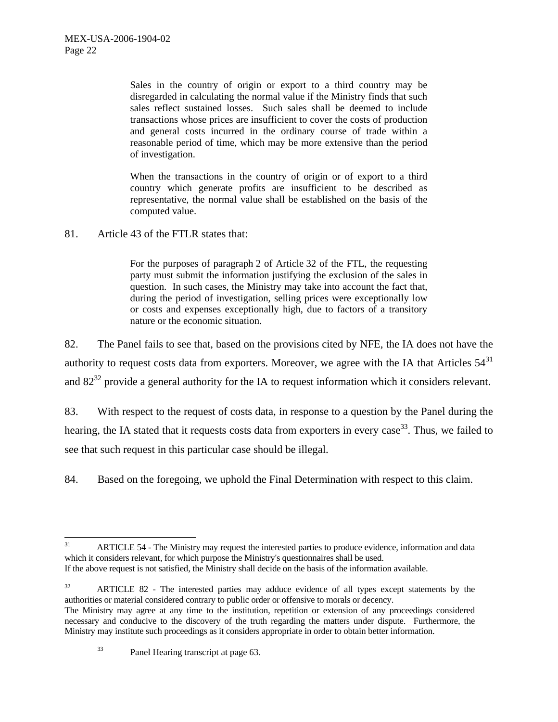Sales in the country of origin or export to a third country may be disregarded in calculating the normal value if the Ministry finds that such sales reflect sustained losses. Such sales shall be deemed to include transactions whose prices are insufficient to cover the costs of production and general costs incurred in the ordinary course of trade within a reasonable period of time, which may be more extensive than the period of investigation.

When the transactions in the country of origin or of export to a third country which generate profits are insufficient to be described as representative, the normal value shall be established on the basis of the computed value.

81. Article 43 of the FTLR states that:

For the purposes of paragraph 2 of Article 32 of the FTL, the requesting party must submit the information justifying the exclusion of the sales in question. In such cases, the Ministry may take into account the fact that, during the period of investigation, selling prices were exceptionally low or costs and expenses exceptionally high, due to factors of a transitory nature or the economic situation.

82. The Panel fails to see that, based on the provisions cited by NFE, the IA does not have the authority to request costs data from exporters. Moreover, we agree with the IA that Articles  $54<sup>31</sup>$ and  $82^{32}$  provide a general authority for the IA to request information which it considers relevant.

83. With respect to the request of costs data, in response to a question by the Panel during the hearing, the IA stated that it requests costs data from exporters in every case<sup>33</sup>. Thus, we failed to see that such request in this particular case should be illegal.

84. Based on the foregoing, we uphold the Final Determination with respect to this claim.

 $31$ ARTICLE 54 - The Ministry may request the interested parties to produce evidence, information and data which it considers relevant, for which purpose the Ministry's questionnaires shall be used. If the above request is not satisfied, the Ministry shall decide on the basis of the information available.

<sup>&</sup>lt;sup>32</sup> ARTICLE 82 - The interested parties may adduce evidence of all types except statements by the authorities or material considered contrary to public order or offensive to morals or decency.

The Ministry may agree at any time to the institution, repetition or extension of any proceedings considered necessary and conducive to the discovery of the truth regarding the matters under dispute. Furthermore, the Ministry may institute such proceedings as it considers appropriate in order to obtain better information.

<sup>33</sup> Panel Hearing transcript at page 63.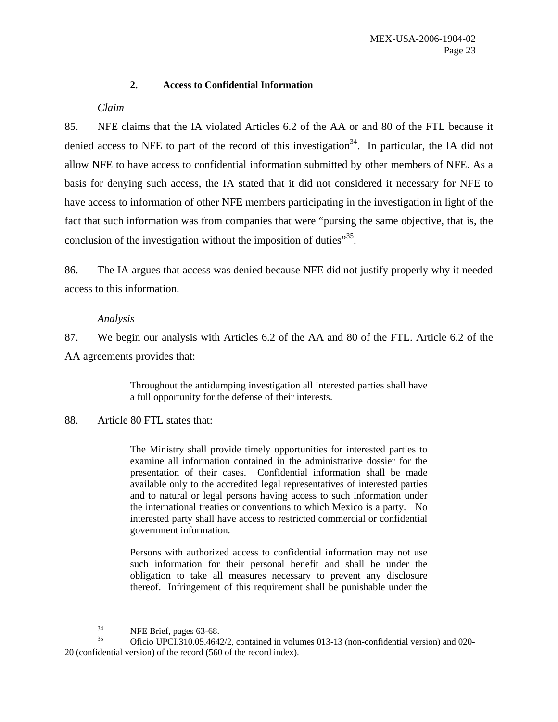#### **2. Access to Confidential Information**

#### *Claim*

85. NFE claims that the IA violated Articles 6.2 of the AA or and 80 of the FTL because it denied access to NFE to part of the record of this investigation<sup>34</sup>. In particular, the IA did not allow NFE to have access to confidential information submitted by other members of NFE. As a basis for denying such access, the IA stated that it did not considered it necessary for NFE to have access to information of other NFE members participating in the investigation in light of the fact that such information was from companies that were "pursing the same objective, that is, the conclusion of the investigation without the imposition of duties $^{35}$ .

86. The IA argues that access was denied because NFE did not justify properly why it needed access to this information.

#### *Analysis*

87. We begin our analysis with Articles 6.2 of the AA and 80 of the FTL. Article 6.2 of the AA agreements provides that:

> Throughout the antidumping investigation all interested parties shall have a full opportunity for the defense of their interests.

88. Article 80 FTL states that:

The Ministry shall provide timely opportunities for interested parties to examine all information contained in the administrative dossier for the presentation of their cases. Confidential information shall be made available only to the accredited legal representatives of interested parties and to natural or legal persons having access to such information under the international treaties or conventions to which Mexico is a party. No interested party shall have access to restricted commercial or confidential government information.

Persons with authorized access to confidential information may not use such information for their personal benefit and shall be under the obligation to take all measures necessary to prevent any disclosure thereof. Infringement of this requirement shall be punishable under the

<sup>&</sup>lt;sup>34</sup> NFE Brief, pages 63-68.

<sup>35</sup> Oficio UPCI.310.05.4642/2, contained in volumes 013-13 (non-confidential version) and 020- 20 (confidential version) of the record (560 of the record index).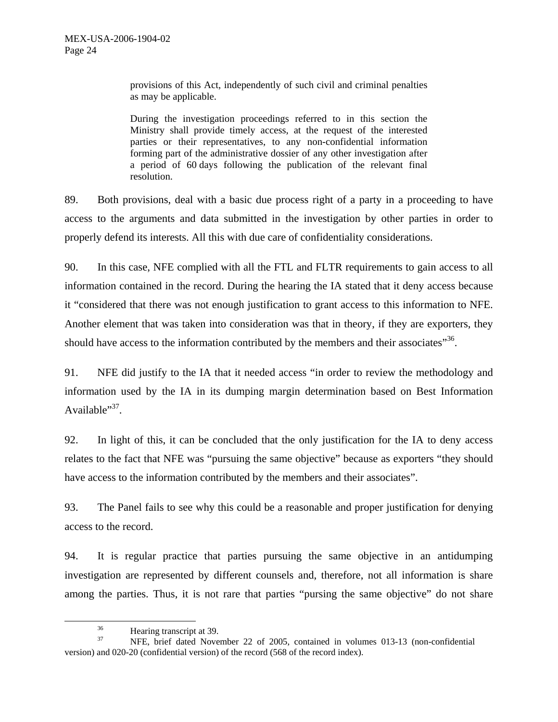provisions of this Act, independently of such civil and criminal penalties as may be applicable.

During the investigation proceedings referred to in this section the Ministry shall provide timely access, at the request of the interested parties or their representatives, to any non-confidential information forming part of the administrative dossier of any other investigation after a period of 60 days following the publication of the relevant final resolution.

89. Both provisions, deal with a basic due process right of a party in a proceeding to have access to the arguments and data submitted in the investigation by other parties in order to properly defend its interests. All this with due care of confidentiality considerations.

90. In this case, NFE complied with all the FTL and FLTR requirements to gain access to all information contained in the record. During the hearing the IA stated that it deny access because it "considered that there was not enough justification to grant access to this information to NFE. Another element that was taken into consideration was that in theory, if they are exporters, they should have access to the information contributed by the members and their associates"<sup>36</sup>.

91. NFE did justify to the IA that it needed access "in order to review the methodology and information used by the IA in its dumping margin determination based on Best Information Available" $37$ .

92. In light of this, it can be concluded that the only justification for the IA to deny access relates to the fact that NFE was "pursuing the same objective" because as exporters "they should have access to the information contributed by the members and their associates".

93. The Panel fails to see why this could be a reasonable and proper justification for denying access to the record.

94. It is regular practice that parties pursuing the same objective in an antidumping investigation are represented by different counsels and, therefore, not all information is share among the parties. Thus, it is not rare that parties "pursing the same objective" do not share

 $36 \t\t\t \text{Hearing transcript at } 39.$ 

NFE, brief dated November 22 of 2005, contained in volumes 013-13 (non-confidential version) and 020-20 (confidential version) of the record (568 of the record index).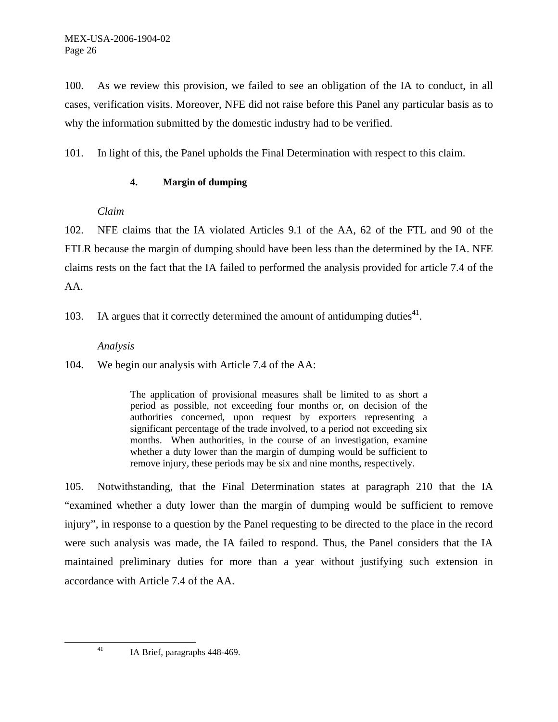100. As we review this provision, we failed to see an obligation of the IA to conduct, in all cases, verification visits. Moreover, NFE did not raise before this Panel any particular basis as to why the information submitted by the domestic industry had to be verified.

101. In light of this, the Panel upholds the Final Determination with respect to this claim.

#### **4. Margin of dumping**

### *Claim*

102. NFE claims that the IA violated Articles 9.1 of the AA, 62 of the FTL and 90 of the FTLR because the margin of dumping should have been less than the determined by the IA. NFE claims rests on the fact that the IA failed to performed the analysis provided for article 7.4 of the AA.

103. IA argues that it correctly determined the amount of antidumping duties<sup>41</sup>.

### *Analysis*

104. We begin our analysis with Article 7.4 of the AA:

The application of provisional measures shall be limited to as short a period as possible, not exceeding four months or, on decision of the authorities concerned, upon request by exporters representing a significant percentage of the trade involved, to a period not exceeding six months. When authorities, in the course of an investigation, examine whether a duty lower than the margin of dumping would be sufficient to remove injury, these periods may be six and nine months, respectively.

105. Notwithstanding, that the Final Determination states at paragraph 210 that the IA "examined whether a duty lower than the margin of dumping would be sufficient to remove injury", in response to a question by the Panel requesting to be directed to the place in the record were such analysis was made, the IA failed to respond. Thus, the Panel considers that the IA maintained preliminary duties for more than a year without justifying such extension in accordance with Article 7.4 of the AA.

 <sup>41</sup> IA Brief, paragraphs 448-469.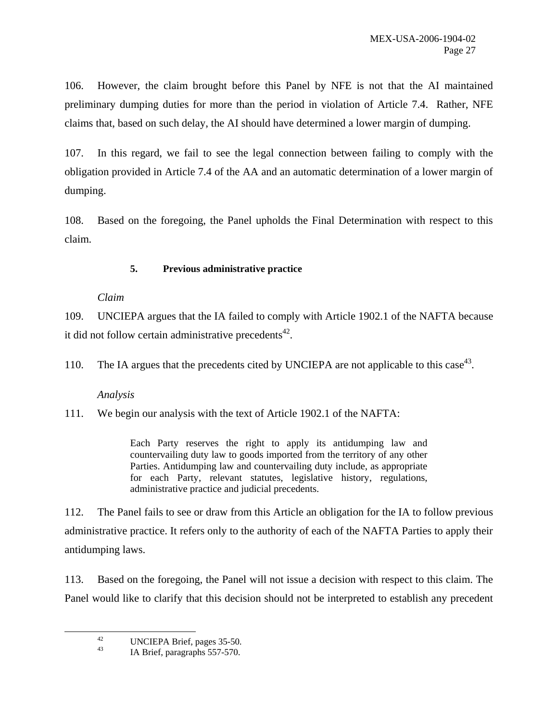106. However, the claim brought before this Panel by NFE is not that the AI maintained preliminary dumping duties for more than the period in violation of Article 7.4. Rather, NFE claims that, based on such delay, the AI should have determined a lower margin of dumping.

107. In this regard, we fail to see the legal connection between failing to comply with the obligation provided in Article 7.4 of the AA and an automatic determination of a lower margin of dumping.

108. Based on the foregoing, the Panel upholds the Final Determination with respect to this claim.

### **5. Previous administrative practice**

### *Claim*

109. UNCIEPA argues that the IA failed to comply with Article 1902.1 of the NAFTA because it did not follow certain administrative precedents $42$ .

110. The IA argues that the precedents cited by UNCIEPA are not applicable to this case<sup>43</sup>.

# *Analysis*

111. We begin our analysis with the text of Article 1902.1 of the NAFTA:

Each Party reserves the right to apply its antidumping law and countervailing duty law to goods imported from the territory of any other Parties. Antidumping law and countervailing duty include, as appropriate for each Party, relevant statutes, legislative history, regulations, administrative practice and judicial precedents.

112. The Panel fails to see or draw from this Article an obligation for the IA to follow previous administrative practice. It refers only to the authority of each of the NAFTA Parties to apply their antidumping laws.

113. Based on the foregoing, the Panel will not issue a decision with respect to this claim. The Panel would like to clarify that this decision should not be interpreted to establish any precedent

<sup>&</sup>lt;sup>42</sup> UNCIEPA Brief, pages 35-50.

IA Brief, paragraphs 557-570.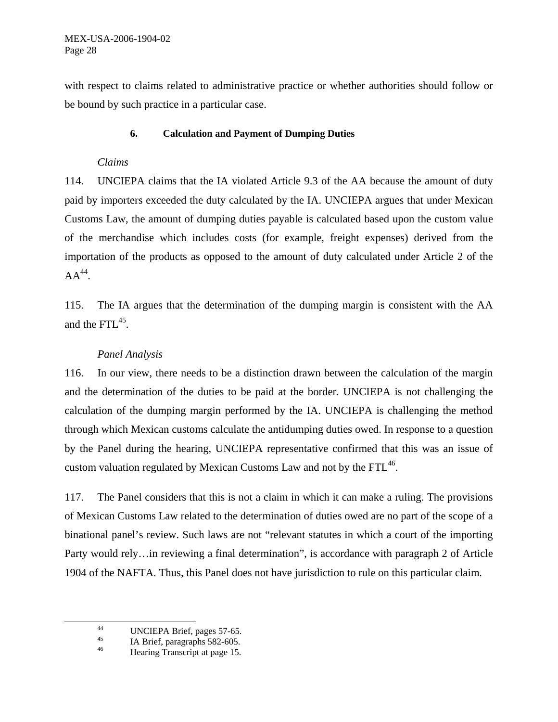with respect to claims related to administrative practice or whether authorities should follow or be bound by such practice in a particular case.

#### **6. Calculation and Payment of Dumping Duties**

#### *Claims*

114. UNCIEPA claims that the IA violated Article 9.3 of the AA because the amount of duty paid by importers exceeded the duty calculated by the IA. UNCIEPA argues that under Mexican Customs Law, the amount of dumping duties payable is calculated based upon the custom value of the merchandise which includes costs (for example, freight expenses) derived from the importation of the products as opposed to the amount of duty calculated under Article 2 of the  $AA^{44}$ .

115. The IA argues that the determination of the dumping margin is consistent with the AA and the FTL<sup>45</sup>.

### *Panel Analysis*

116. In our view, there needs to be a distinction drawn between the calculation of the margin and the determination of the duties to be paid at the border. UNCIEPA is not challenging the calculation of the dumping margin performed by the IA. UNCIEPA is challenging the method through which Mexican customs calculate the antidumping duties owed. In response to a question by the Panel during the hearing, UNCIEPA representative confirmed that this was an issue of custom valuation regulated by Mexican Customs Law and not by the  $FTL<sup>46</sup>$ .

117. The Panel considers that this is not a claim in which it can make a ruling. The provisions of Mexican Customs Law related to the determination of duties owed are no part of the scope of a binational panel's review. Such laws are not "relevant statutes in which a court of the importing Party would rely…in reviewing a final determination", is accordance with paragraph 2 of Article 1904 of the NAFTA. Thus, this Panel does not have jurisdiction to rule on this particular claim.

<sup>&</sup>lt;sup>44</sup> UNCIEPA Brief, pages 57-65.<br><sup>45</sup> LA Brief, pages page 6582, 605.

 $^{45}$  IA Brief, paragraphs 582-605.

<sup>46</sup> Hearing Transcript at page 15.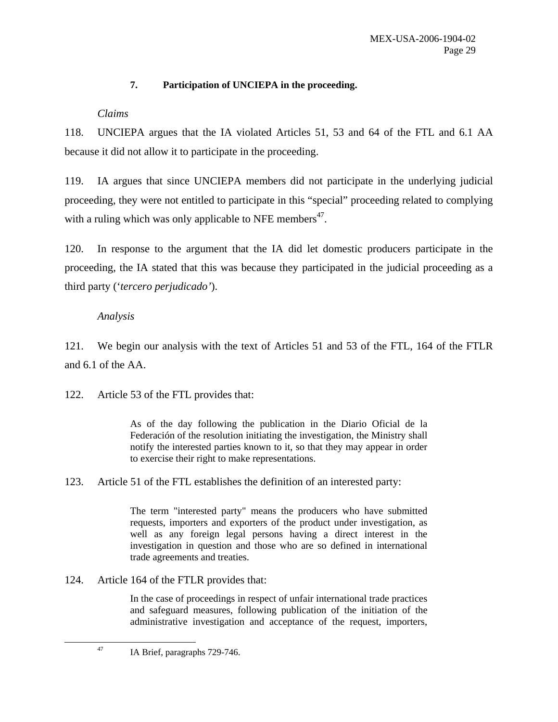### **7. Participation of UNCIEPA in the proceeding.**

### *Claims*

118. UNCIEPA argues that the IA violated Articles 51, 53 and 64 of the FTL and 6.1 AA because it did not allow it to participate in the proceeding.

119. IA argues that since UNCIEPA members did not participate in the underlying judicial proceeding, they were not entitled to participate in this "special" proceeding related to complying with a ruling which was only applicable to NFE members<sup>47</sup>.

120. In response to the argument that the IA did let domestic producers participate in the proceeding, the IA stated that this was because they participated in the judicial proceeding as a third party ('*tercero perjudicado'*).

### *Analysis*

121. We begin our analysis with the text of Articles 51 and 53 of the FTL, 164 of the FTLR and 6.1 of the AA.

122. Article 53 of the FTL provides that:

As of the day following the publication in the Diario Oficial de la Federación of the resolution initiating the investigation, the Ministry shall notify the interested parties known to it, so that they may appear in order to exercise their right to make representations.

123. Article 51 of the FTL establishes the definition of an interested party:

The term "interested party" means the producers who have submitted requests, importers and exporters of the product under investigation, as well as any foreign legal persons having a direct interest in the investigation in question and those who are so defined in international trade agreements and treaties.

124. Article 164 of the FTLR provides that:

In the case of proceedings in respect of unfair international trade practices and safeguard measures, following publication of the initiation of the administrative investigation and acceptance of the request, importers,

 <sup>47</sup> IA Brief, paragraphs 729-746.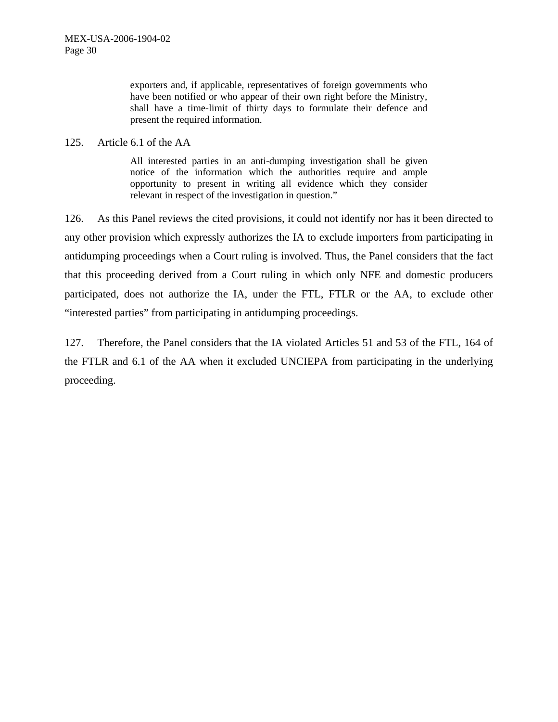exporters and, if applicable, representatives of foreign governments who have been notified or who appear of their own right before the Ministry, shall have a time-limit of thirty days to formulate their defence and present the required information.

#### 125. Article 6.1 of the AA

All interested parties in an anti-dumping investigation shall be given notice of the information which the authorities require and ample opportunity to present in writing all evidence which they consider relevant in respect of the investigation in question."

126. As this Panel reviews the cited provisions, it could not identify nor has it been directed to any other provision which expressly authorizes the IA to exclude importers from participating in antidumping proceedings when a Court ruling is involved. Thus, the Panel considers that the fact that this proceeding derived from a Court ruling in which only NFE and domestic producers participated, does not authorize the IA, under the FTL, FTLR or the AA, to exclude other "interested parties" from participating in antidumping proceedings.

127. Therefore, the Panel considers that the IA violated Articles 51 and 53 of the FTL, 164 of the FTLR and 6.1 of the AA when it excluded UNCIEPA from participating in the underlying proceeding.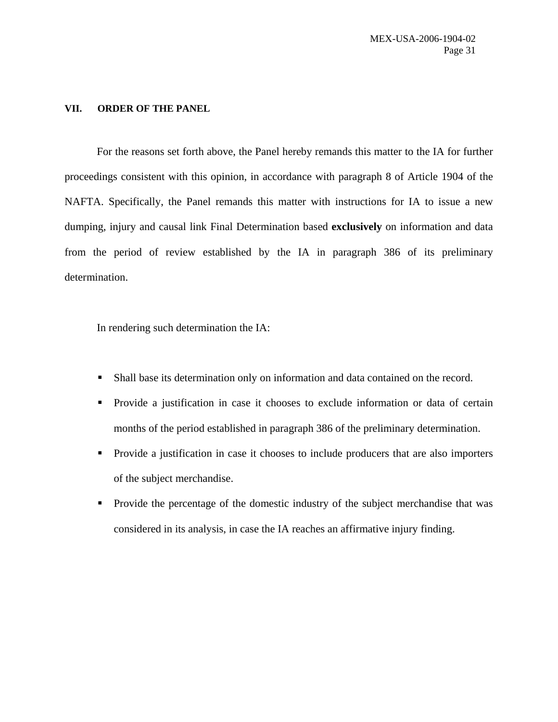#### **VII. ORDER OF THE PANEL**

For the reasons set forth above, the Panel hereby remands this matter to the IA for further proceedings consistent with this opinion, in accordance with paragraph 8 of Article 1904 of the NAFTA. Specifically, the Panel remands this matter with instructions for IA to issue a new dumping, injury and causal link Final Determination based **exclusively** on information and data from the period of review established by the IA in paragraph 386 of its preliminary determination.

In rendering such determination the IA:

- Shall base its determination only on information and data contained on the record.
- **Provide a justification in case it chooses to exclude information or data of certain** months of the period established in paragraph 386 of the preliminary determination.
- **Provide a justification in case it chooses to include producers that are also importers** of the subject merchandise.
- **Provide the percentage of the domestic industry of the subject merchandise that was** considered in its analysis, in case the IA reaches an affirmative injury finding.